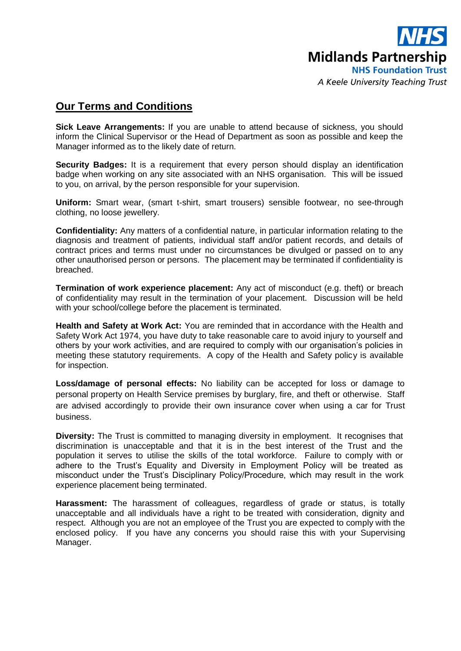

## **Our Terms and Conditions**

**Sick Leave Arrangements:** If you are unable to attend because of sickness, you should inform the Clinical Supervisor or the Head of Department as soon as possible and keep the Manager informed as to the likely date of return.

**Security Badges:** It is a requirement that every person should display an identification badge when working on any site associated with an NHS organisation. This will be issued to you, on arrival, by the person responsible for your supervision.

**Uniform:** Smart wear, (smart t-shirt, smart trousers) sensible footwear, no see-through clothing, no loose jewellery.

**Confidentiality:** Any matters of a confidential nature, in particular information relating to the diagnosis and treatment of patients, individual staff and/or patient records, and details of contract prices and terms must under no circumstances be divulged or passed on to any other unauthorised person or persons. The placement may be terminated if confidentiality is breached.

**Termination of work experience placement:** Any act of misconduct (e.g. theft) or breach of confidentiality may result in the termination of your placement. Discussion will be held with your school/college before the placement is terminated.

**Health and Safety at Work Act:** You are reminded that in accordance with the Health and Safety Work Act 1974, you have duty to take reasonable care to avoid injury to yourself and others by your work activities, and are required to comply with our organisation's policies in meeting these statutory requirements. A copy of the Health and Safety policy is available for inspection.

**Loss/damage of personal effects:** No liability can be accepted for loss or damage to personal property on Health Service premises by burglary, fire, and theft or otherwise. Staff are advised accordingly to provide their own insurance cover when using a car for Trust business.

**Diversity:** The Trust is committed to managing diversity in employment. It recognises that discrimination is unacceptable and that it is in the best interest of the Trust and the population it serves to utilise the skills of the total workforce. Failure to comply with or adhere to the Trust's Equality and Diversity in Employment Policy will be treated as misconduct under the Trust's Disciplinary Policy/Procedure, which may result in the work experience placement being terminated.

**Harassment:** The harassment of colleagues, regardless of grade or status, is totally unacceptable and all individuals have a right to be treated with consideration, dignity and respect. Although you are not an employee of the Trust you are expected to comply with the enclosed policy. If you have any concerns you should raise this with your Supervising Manager.